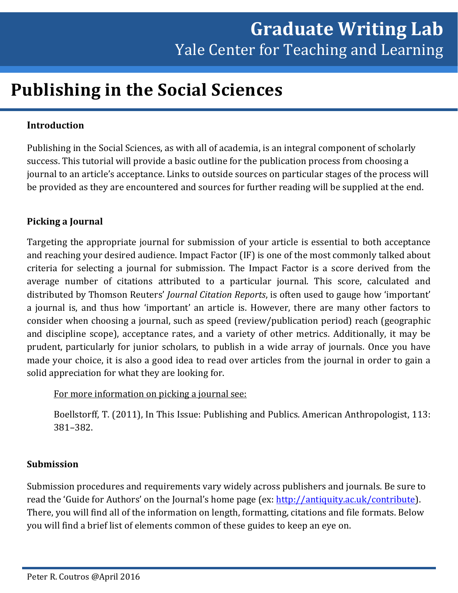# **Publishing in the Social Sciences**

## **Introduction**

Publishing in the Social Sciences, as with all of academia, is an integral component of scholarly success. This tutorial will provide a basic outline for the publication process from choosing a journal to an article's acceptance. Links to outside sources on particular stages of the process will be provided as they are encountered and sources for further reading will be supplied at the end.

## **Picking a Journal**

Targeting the appropriate journal for submission of your article is essential to both acceptance and reaching your desired audience. Impact Factor (IF) is one of the most commonly talked about criteria for selecting a journal for submission. The Impact Factor is a score derived from the average number of citations attributed to a particular journal. This score, calculated and distributed by Thomson Reuters' *Journal Citation Reports*, is often used to gauge how 'important' a journal is, and thus how 'important' an article is. However, there are many other factors to consider when choosing a journal, such as speed (review/publication period) reach (geographic and discipline scope), acceptance rates, and a variety of other metrics. Additionally, it may be prudent, particularly for junior scholars, to publish in a wide array of journals. Once you have made your choice, it is also a good idea to read over articles from the journal in order to gain a solid appreciation for what they are looking for.

For more information on picking a journal see:

Boellstorff, T. (2011), In This Issue: Publishing and Publics. American Anthropologist, 113: 381–382.

#### **Submission**

Submission procedures and requirements vary widely across publishers and journals. Be sure to read the 'Guide for Authors' on the Journal's home page (ex: http://antiquity.ac.uk/contribute). There, you will find all of the information on length, formatting, citations and file formats. Below you will find a brief list of elements common of these guides to keep an eye on.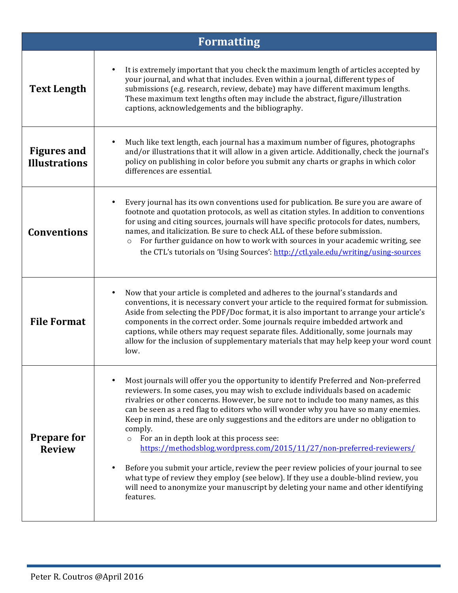| <b>Formatting</b>                          |                                                                                                                                                                                                                                                                                                                                                                                                                                                                                                                                                                                                                                                                                                                                                                                                                                                                     |  |
|--------------------------------------------|---------------------------------------------------------------------------------------------------------------------------------------------------------------------------------------------------------------------------------------------------------------------------------------------------------------------------------------------------------------------------------------------------------------------------------------------------------------------------------------------------------------------------------------------------------------------------------------------------------------------------------------------------------------------------------------------------------------------------------------------------------------------------------------------------------------------------------------------------------------------|--|
| <b>Text Length</b>                         | It is extremely important that you check the maximum length of articles accepted by<br>$\bullet$<br>your journal, and what that includes. Even within a journal, different types of<br>submissions (e.g. research, review, debate) may have different maximum lengths.<br>These maximum text lengths often may include the abstract, figure/illustration<br>captions, acknowledgements and the bibliography.                                                                                                                                                                                                                                                                                                                                                                                                                                                        |  |
| <b>Figures and</b><br><b>Illustrations</b> | Much like text length, each journal has a maximum number of figures, photographs<br>$\bullet$<br>and/or illustrations that it will allow in a given article. Additionally, check the journal's<br>policy on publishing in color before you submit any charts or graphs in which color<br>differences are essential.                                                                                                                                                                                                                                                                                                                                                                                                                                                                                                                                                 |  |
| <b>Conventions</b>                         | Every journal has its own conventions used for publication. Be sure you are aware of<br>footnote and quotation protocols, as well as citation styles. In addition to conventions<br>for using and citing sources, journals will have specific protocols for dates, numbers,<br>names, and italicization. Be sure to check ALL of these before submission.<br>For further guidance on how to work with sources in your academic writing, see<br>$\circ$<br>the CTL's tutorials on 'Using Sources': http://ctl.yale.edu/writing/using-sources                                                                                                                                                                                                                                                                                                                         |  |
| <b>File Format</b>                         | Now that your article is completed and adheres to the journal's standards and<br>٠<br>conventions, it is necessary convert your article to the required format for submission.<br>Aside from selecting the PDF/Doc format, it is also important to arrange your article's<br>components in the correct order. Some journals require imbedded artwork and<br>captions, while others may request separate files. Additionally, some journals may<br>allow for the inclusion of supplementary materials that may help keep your word count<br>low.                                                                                                                                                                                                                                                                                                                     |  |
| <b>Prepare for</b><br><b>Review</b>        | Most journals will offer you the opportunity to identify Preferred and Non-preferred<br>reviewers. In some cases, you may wish to exclude individuals based on academic<br>rivalries or other concerns. However, be sure not to include too many names, as this<br>can be seen as a red flag to editors who will wonder why you have so many enemies.<br>Keep in mind, these are only suggestions and the editors are under no obligation to<br>comply.<br>o For an in depth look at this process see:<br>https://methodsblog.wordpress.com/2015/11/27/non-preferred-reviewers/<br>Before you submit your article, review the peer review policies of your journal to see<br>what type of review they employ (see below). If they use a double-blind review, you<br>will need to anonymize your manuscript by deleting your name and other identifying<br>features. |  |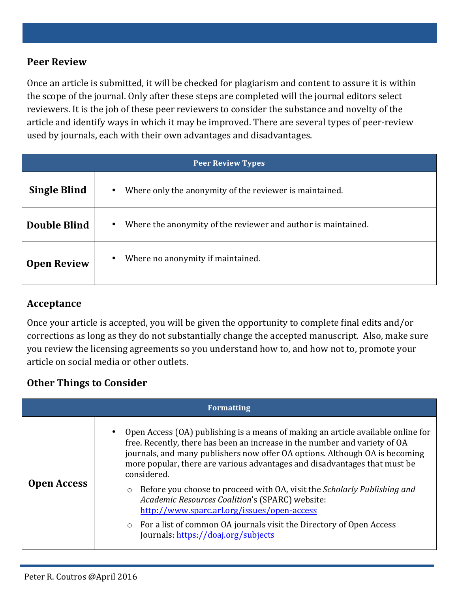## **Peer Review**

Once an article is submitted, it will be checked for plagiarism and content to assure it is within the scope of the journal. Only after these steps are completed will the journal editors select reviewers. It is the job of these peer reviewers to consider the substance and novelty of the article and identify ways in which it may be improved. There are several types of peer-review used by journals, each with their own advantages and disadvantages.

| <b>Peer Review Types</b> |                                                                            |  |
|--------------------------|----------------------------------------------------------------------------|--|
| <b>Single Blind</b>      | Where only the anonymity of the reviewer is maintained.<br>$\bullet$       |  |
| Double Blind             | Where the anonymity of the reviewer and author is maintained.<br>$\bullet$ |  |
| <b>Open Review</b>       | Where no anonymity if maintained.<br>$\bullet$                             |  |

### **Acceptance**

Once your article is accepted, you will be given the opportunity to complete final edits and/or corrections as long as they do not substantially change the accepted manuscript. Also, make sure you review the licensing agreements so you understand how to, and how not to, promote your article on social media or other outlets.

### **Other Things to Consider**

| <b>Formatting</b>  |                                                                                                                                                                                                                                                                                                                                                                                                                                                                                                                                                                                                                                                           |  |
|--------------------|-----------------------------------------------------------------------------------------------------------------------------------------------------------------------------------------------------------------------------------------------------------------------------------------------------------------------------------------------------------------------------------------------------------------------------------------------------------------------------------------------------------------------------------------------------------------------------------------------------------------------------------------------------------|--|
| <b>Open Access</b> | Open Access (OA) publishing is a means of making an article available online for<br>free. Recently, there has been an increase in the number and variety of OA<br>journals, and many publishers now offer OA options. Although OA is becoming<br>more popular, there are various advantages and disadvantages that must be<br>considered.<br>Before you choose to proceed with OA, visit the <i>Scholarly Publishing and</i><br>$\circ$<br>Academic Resources Coalition's (SPARC) website:<br>http://www.sparc.arl.org/issues/open-access<br>• For a list of common OA journals visit the Directory of Open Access<br>Journals: https://doaj.org/subjects |  |